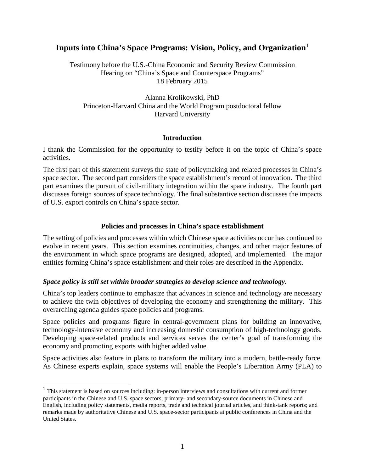# **Inputs into China's Space Programs: Vision, Policy, and Organization**[1](#page-0-0)

Testimony before the U.S.-China Economic and Security Review Commission Hearing on "China's Space and Counterspace Programs" 18 February 2015

Alanna Krolikowski, PhD Princeton-Harvard China and the World Program postdoctoral fellow Harvard University

### **Introduction**

I thank the Commission for the opportunity to testify before it on the topic of China's space activities.

The first part of this statement surveys the state of policymaking and related processes in China's space sector. The second part considers the space establishment's record of innovation. The third part examines the pursuit of civil-military integration within the space industry. The fourth part discusses foreign sources of space technology. The final substantive section discusses the impacts of U.S. export controls on China's space sector.

### **Policies and processes in China's space establishment**

The setting of policies and processes within which Chinese space activities occur has continued to evolve in recent years. This section examines continuities, changes, and other major features of the environment in which space programs are designed, adopted, and implemented. The major entities forming China's space establishment and their roles are described in the Appendix.

### *Space policy is still set within broader strategies to develop science and technology.*

China's top leaders continue to emphasize that advances in science and technology are necessary to achieve the twin objectives of developing the economy and strengthening the military. This overarching agenda guides space policies and programs.

Space policies and programs figure in central-government plans for building an innovative, technology-intensive economy and increasing domestic consumption of high-technology goods. Developing space-related products and services serves the center's goal of transforming the economy and promoting exports with higher added value.

Space activities also feature in plans to transform the military into a modern, battle-ready force. As Chinese experts explain, space systems will enable the People's Liberation Army (PLA) to

 $\overline{a}$ 

<span id="page-0-0"></span><sup>&</sup>lt;sup>1</sup> This statement is based on sources including: in-person interviews and consultations with current and former participants in the Chinese and U.S. space sectors; primary- and secondary-source documents in Chinese and English, including policy statements, media reports, trade and technical journal articles, and think-tank reports; and remarks made by authoritative Chinese and U.S. space-sector participants at public conferences in China and the United States.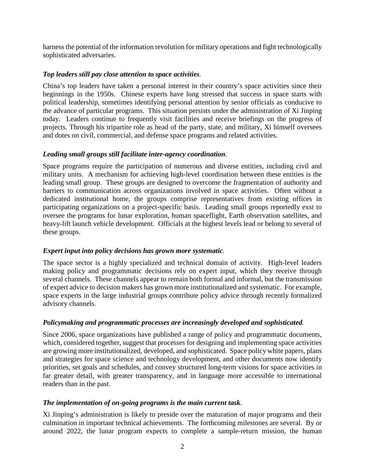harness the potential of the information revolution for military operations and fight technologically sophisticated adversaries.

### *Top leaders still pay close attention to space activities.*

China's top leaders have taken a personal interest in their country's space activities since their beginnings in the 1950s. Chinese experts have long stressed that success in space starts with political leadership, sometimes identifying personal attention by senior officials as conducive to the advance of particular programs. This situation persists under the administration of Xi Jinping today. Leaders continue to frequently visit facilities and receive briefings on the progress of projects. Through his tripartite role as head of the party, state, and military, Xi himself oversees and dotes on civil, commercial, and defense space programs and related activities.

### *Leading small groups still facilitate inter-agency coordination.*

Space programs require the participation of numerous and diverse entities, including civil and military units. A mechanism for achieving high-level coordination between these entities is the leading small group. These groups are designed to overcome the fragmentation of authority and barriers to communication across organizations involved in space activities. Often without a dedicated institutional home, the groups comprise representatives from existing offices in participating organizations on a project-specific basis. Leading small groups reportedly exst to oversee the programs for lunar exploration, human spaceflight, Earth observation satellites, and heavy-lift launch vehicle development. Officials at the highest levels lead or belong to several of these groups.

### *Expert input into policy decisions has grown more systematic.*

The space sector is a highly specialized and technical domain of activity. High-level leaders making policy and programmatic decisions rely on expert input, which they receive through several channels. These channels appear to remain both formal and informal, but the transmission of expert advice to decision makers has grown more institutionalized and systematic. For example, space experts in the large industrial groups contribute policy advice through recently formalized advisory channels.

### *Policymaking and programmatic processes are increasingly developed and sophisticated.*

Since 2006, space organizations have published a range of policy and programmatic documents, which, considered together, suggest that processes for designing and implementing space activities are growing more institutionalized, developed, and sophisticated. Space policy white papers, plans and strategies for space science and technology development, and other documents now identify priorities, set goals and schedules, and convey structured long-term visions for space activities in far greater detail, with greater transparency, and in language more accessible to international readers than in the past.

### *The implementation of on-going programs is the main current task.*

Xi Jinping's administration is likely to preside over the maturation of major programs and their culmination in important technical achievements. The forthcoming milestones are several. By or around 2022, the lunar program expects to complete a sample-return mission, the human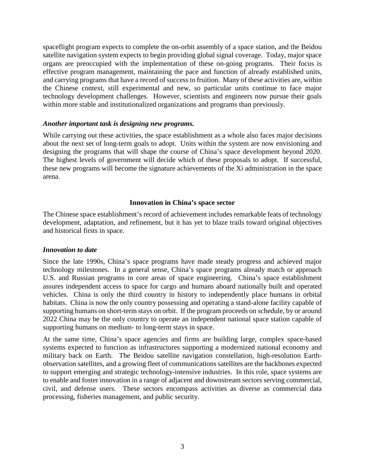spaceflight program expects to complete the on-orbit assembly of a space station, and the Beidou satellite navigation system expects to begin providing global signal coverage. Today, major space organs are preoccupied with the implementation of these on-going programs. Their focus is effective program management, maintaining the pace and function of already established units, and carrying programs that have a record of success to fruition. Many of these activities are, within the Chinese context, still experimental and new, so particular units continue to face major technology development challenges. However, scientists and engineers now pursue their goals within more stable and institutionalized organizations and programs than previously.

#### *Another important task is designing new programs.*

While carrying out these activities, the space establishment as a whole also faces major decisions about the next set of long-term goals to adopt. Units within the system are now envisioning and designing the programs that will shape the course of China's space development beyond 2020. The highest levels of government will decide which of these proposals to adopt. If successful, these new programs will become the signature achievements of the Xi administration in the space arena.

#### **Innovation in China's space sector**

The Chinese space establishment's record of achievement includes remarkable feats of technology development, adaptation, and refinement, but it has yet to blaze trails toward original objectives and historical firsts in space.

### *Innovation to date*

Since the late 1990s, China's space programs have made steady progress and achieved major technology milestones. In a general sense, China's space programs already match or approach U.S. and Russian programs in core areas of space engineering. China's space establishment assures independent access to space for cargo and humans aboard nationally built and operated vehicles. China is only the third country in history to independently place humans in orbital habitats. China is now the only country possessing and operating a stand-alone facility capable of supporting humans on short-term stays on orbit. If the program proceeds on schedule, by or around 2022 China may be the only country to operate an independent national space station capable of supporting humans on medium- to long-term stays in space.

At the same time, China's space agencies and firms are building large, complex space-based systems expected to function as infrastructures supporting a modernized national economy and military back on Earth. The Beidou satellite navigation constellation, high-resolution Earthobservation satellites, and a growing fleet of communications satellites are the backbones expected to support emerging and strategic technology-intensive industries. In this role, space systems are to enable and foster innovation in a range of adjacent and downstream sectors serving commercial, civil, and defense users. These sectors encompass activities as diverse as commercial data processing, fisheries management, and public security.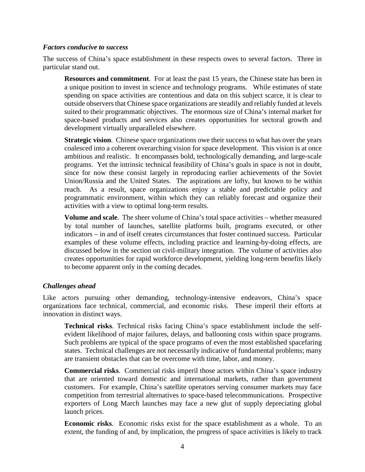#### *Factors conducive to success*

The success of China's space establishment in these respects owes to several factors. Three in particular stand out.

**Resources and commitment**. For at least the past 15 years, the Chinese state has been in a unique position to invest in science and technology programs. While estimates of state spending on space activities are contentious and data on this subject scarce, it is clear to outside observers that Chinese space organizations are steadily and reliably funded at levels suited to their programmatic objectives. The enormous size of China's internal market for space-based products and services also creates opportunities for sectoral growth and development virtually unparalleled elsewhere.

**Strategic vision**. Chinese space organizations owe their success to what has over the years coalesced into a coherent overarching vision for space development. This vision is at once ambitious and realistic. It encompasses bold, technologically demanding, and large-scale programs. Yet the intrinsic technical feasibility of China's goals in space is not in doubt, since for now these consist largely in reproducing earlier achievements of the Soviet Union/Russia and the United States. The aspirations are lofty, but known to be within reach. As a result, space organizations enjoy a stable and predictable policy and programmatic environment, within which they can reliably forecast and organize their activities with a view to optimal long-term results.

**Volume and scale**. The sheer volume of China's total space activities – whether measured by total number of launches, satellite platforms built, programs executed, or other indicators – in and of itself creates circumstances that foster continued success. Particular examples of these volume effects, including practice and learning-by-doing effects, are discussed below in the section on civil-military integration. The volume of activities also creates opportunities for rapid workforce development, yielding long-term benefits likely to become apparent only in the coming decades.

### *Challenges ahead*

Like actors pursuing other demanding, technology-intensive endeavors, China's space organizations face technical, commercial, and economic risks. These imperil their efforts at innovation in distinct ways.

**Technical risks**. Technical risks facing China's space establishment include the selfevident likelihood of major failures, delays, and ballooning costs within space programs. Such problems are typical of the space programs of even the most established spacefaring states. Technical challenges are not necessarily indicative of fundamental problems; many are transient obstacles that can be overcome with time, labor, and money.

**Commercial risks**. Commercial risks imperil those actors within China's space industry that are oriented toward domestic and international markets, rather than government customers. For example, China's satellite operators serving consumer markets may face competition from terrestrial alternatives to space-based telecommunications. Prospective exporters of Long March launches may face a new glut of supply depreciating global launch prices.

**Economic risks**. Economic risks exist for the space establishment as a whole. To an extent, the funding of and, by implication, the progress of space activities is likely to track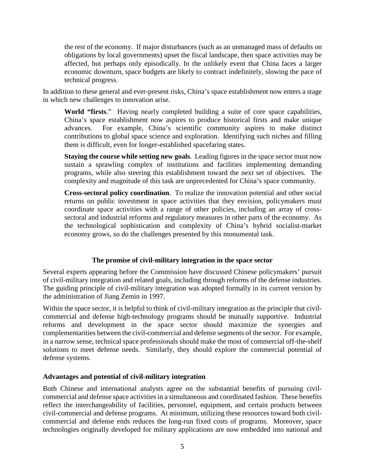the rest of the economy. If major disturbances (such as an unmanaged mass of defaults on obligations by local governments) upset the fiscal landscape, then space activities may be affected, but perhaps only episodically. In the unlikely event that China faces a larger economic downturn, space budgets are likely to contract indefinitely, slowing the pace of technical progress.

In addition to these general and ever-present risks, China's space establishment now enters a stage in which new challenges to innovation arise.

**World "firsts**." Having nearly completed building a suite of core space capabilities, China's space establishment now aspires to produce historical firsts and make unique advances. For example, China's scientific community aspires to make distinct contributions to global space science and exploration. Identifying such niches and filling them is difficult, even for longer-established spacefaring states.

**Staying the course while setting new goals**. Leading figures in the space sector must now sustain a sprawling complex of institutions and facilities implementing demanding programs, while also steering this establishment toward the next set of objectives. The complexity and magnitude of this task are unprecedented for China's space community.

**Cross-sectoral policy coordination**. To realize the innovation potential and other social returns on public investment in space activities that they envision, policymakers must coordinate space activities with a range of other policies, including an array of crosssectoral and industrial reforms and regulatory measures in other parts of the economy. As the technological sophistication and complexity of China's hybrid socialist-market economy grows, so do the challenges presented by this monumental task.

# **The promise of civil-military integration in the space sector**

Several experts appearing before the Commission have discussed Chinese policymakers' pursuit of civil-military integration and related goals, including through reforms of the defense industries. The guiding principle of civil-military integration was adopted formally in its current version by the administration of Jiang Zemin in 1997.

Within the space sector, it is helpful to think of civil-military integration as the principle that civilcommercial and defense high-technology programs should be mutually supportive. Industrial reforms and development in the space sector should maximize the synergies and complementarities between the civil-commercial and defense segments of the sector. For example, in a narrow sense, technical space professionals should make the most of commercial off-the-shelf solutions to meet defense needs. Similarly, they should explore the commercial potential of defense systems.

# **Advantages and potential of civil-military integration**

Both Chinese and international analysts agree on the substantial benefits of pursuing civilcommercial and defense space activities in a simultaneous and coordinated fashion. These benefits reflect the interchangeability of facilities, personnel, equipment, and certain products between civil-commercial and defense programs. At minimum, utilizing these resources toward both civilcommercial and defense ends reduces the long-run fixed costs of programs. Moreover, space technologies originally developed for military applications are now embedded into national and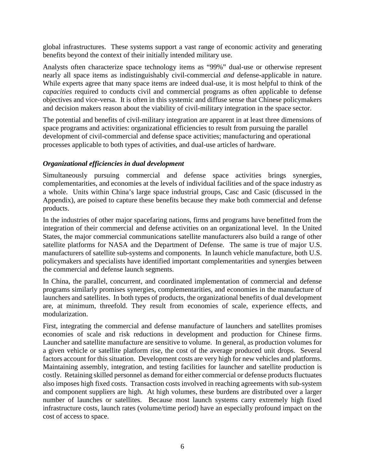global infrastructures. These systems support a vast range of economic activity and generating benefits beyond the context of their initially intended military use.

Analysts often characterize space technology items as "99%" dual-use or otherwise represent nearly all space items as indistinguishably civil-commercial *and* defense-applicable in nature. While experts agree that many space items are indeed dual-use, it is most helpful to think of the *capacities* required to conducts civil and commercial programs as often applicable to defense objectives and vice-versa. It is often in this systemic and diffuse sense that Chinese policymakers and decision makers reason about the viability of civil-military integration in the space sector.

The potential and benefits of civil-military integration are apparent in at least three dimensions of space programs and activities: organizational efficiencies to result from pursuing the parallel development of civil-commercial and defense space activities; manufacturing and operational processes applicable to both types of activities, and dual-use articles of hardware.

### *Organizational efficiencies in dual development*

Simultaneously pursuing commercial and defense space activities brings synergies, complementarities, and economies at the levels of individual facilities and of the space industry as a whole. Units within China's large space industrial groups, Casc and Casic (discussed in the Appendix), are poised to capture these benefits because they make both commercial and defense products.

In the industries of other major spacefaring nations, firms and programs have benefitted from the integration of their commercial and defense activities on an organizational level. In the United States, the major commercial communications satellite manufacturers also build a range of other satellite platforms for NASA and the Department of Defense. The same is true of major U.S. manufacturers of satellite sub-systems and components. In launch vehicle manufacture, both U.S. policymakers and specialists have identified important complementarities and synergies between the commercial and defense launch segments.

In China, the parallel, concurrent, and coordinated implementation of commercial and defense programs similarly promises synergies, complementarities, and economies in the manufacture of launchers and satellites. In both types of products, the organizational benefits of dual development are, at minimum, threefold. They result from economies of scale, experience effects, and modularization.

First, integrating the commercial and defense manufacture of launchers and satellites promises economies of scale and risk reductions in development and production for Chinese firms. Launcher and satellite manufacture are sensitive to volume. In general, as production volumes for a given vehicle or satellite platform rise, the cost of the average produced unit drops. Several factors account for this situation. Development costs are very high for new vehicles and platforms. Maintaining assembly, integration, and testing facilities for launcher and satellite production is costly. Retaining skilled personnel as demand for either commercial or defense products fluctuates also imposes high fixed costs. Transaction costs involved in reaching agreements with sub-system and component suppliers are high. At high volumes, these burdens are distributed over a larger number of launches or satellites. Because most launch systems carry extremely high fixed infrastructure costs, launch rates (volume/time period) have an especially profound impact on the cost of access to space.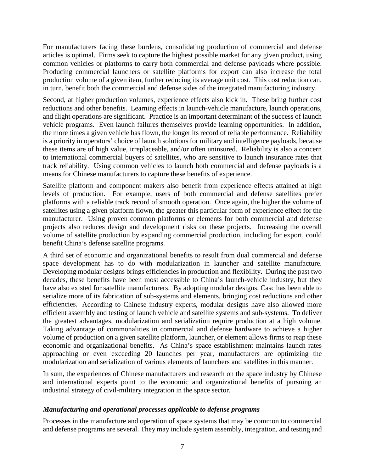For manufacturers facing these burdens, consolidating production of commercial and defense articles is optimal. Firms seek to capture the highest possible market for any given product, using common vehicles or platforms to carry both commercial and defense payloads where possible. Producing commercial launchers or satellite platforms for export can also increase the total production volume of a given item, further reducing its average unit cost. This cost reduction can, in turn, benefit both the commercial and defense sides of the integrated manufacturing industry.

Second, at higher production volumes, experience effects also kick in. These bring further cost reductions and other benefits. Learning effects in launch-vehicle manufacture, launch operations, and flight operations are significant. Practice is an important determinant of the success of launch vehicle programs. Even launch failures themselves provide learning opportunities. In addition, the more times a given vehicle has flown, the longer its record of reliable performance. Reliability is a priority in operators' choice of launch solutions for military and intelligence payloads, because these items are of high value, irreplaceable, and/or often uninsured. Reliability is also a concern to international commercial buyers of satellites, who are sensitive to launch insurance rates that track reliability. Using common vehicles to launch both commercial and defense payloads is a means for Chinese manufacturers to capture these benefits of experience.

Satellite platform and component makers also benefit from experience effects attained at high levels of production. For example, users of both commercial and defense satellites prefer platforms with a reliable track record of smooth operation. Once again, the higher the volume of satellites using a given platform flown, the greater this particular form of experience effect for the manufacturer. Using proven common platforms or elements for both commercial and defense projects also reduces design and development risks on these projects. Increasing the overall volume of satellite production by expanding commercial production, including for export, could benefit China's defense satellite programs.

A third set of economic and organizational benefits to result from dual commercial and defense space development has to do with modularization in launcher and satellite manufacture. Developing modular designs brings efficiencies in production and flexibility. During the past two decades, these benefits have been most accessible to China's launch-vehicle industry, but they have also existed for satellite manufacturers. By adopting modular designs, Casc has been able to serialize more of its fabrication of sub-systems and elements, bringing cost reductions and other efficiencies. According to Chinese industry experts, modular designs have also allowed more efficient assembly and testing of launch vehicle and satellite systems and sub-systems. To deliver the greatest advantages, modularization and serialization require production at a high volume. Taking advantage of commonalities in commercial and defense hardware to achieve a higher volume of production on a given satellite platform, launcher, or element allows firms to reap these economic and organizational benefits. As China's space establishment maintains launch rates approaching or even exceeding 20 launches per year, manufacturers are optimizing the modularization and serialization of various elements of launchers and satellites in this manner.

In sum, the experiences of Chinese manufacturers and research on the space industry by Chinese and international experts point to the economic and organizational benefits of pursuing an industrial strategy of civil-military integration in the space sector.

# *Manufacturing and operational processes applicable to defense programs*

Processes in the manufacture and operation of space systems that may be common to commercial and defense programs are several. They may include system assembly, integration, and testing and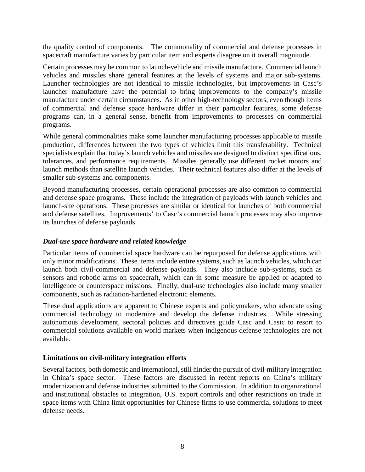the quality control of components. The commonality of commercial and defense processes in spacecraft manufacture varies by particular item and experts disagree on it overall magnitude.

Certain processes may be common to launch-vehicle and missile manufacture. Commercial launch vehicles and missiles share general features at the levels of systems and major sub-systems. Launcher technologies are not identical to missile technologies, but improvements in Casc's launcher manufacture have the potential to bring improvements to the company's missile manufacture under certain circumstances. As in other high-technology sectors, even though items of commercial and defense space hardware differ in their particular features, some defense programs can, in a general sense, benefit from improvements to processes on commercial programs.

While general commonalities make some launcher manufacturing processes applicable to missile production, differences between the two types of vehicles limit this transferability. Technical specialists explain that today's launch vehicles and missiles are designed to distinct specifications, tolerances, and performance requirements. Missiles generally use different rocket motors and launch methods than satellite launch vehicles. Their technical features also differ at the levels of smaller sub-systems and components.

Beyond manufacturing processes, certain operational processes are also common to commercial and defense space programs. These include the integration of payloads with launch vehicles and launch-site operations. These processes are similar or identical for launches of both commercial and defense satellites. Improvements' to Casc's commercial launch processes may also improve its launches of defense payloads.

# *Dual-use space hardware and related knowledge*

Particular items of commercial space hardware can be repurposed for defense applications with only minor modifications. These items include entire systems, such as launch vehicles, which can launch both civil-commercial and defense payloads. They also include sub-systems, such as sensors and robotic arms on spacecraft, which can in some measure be applied or adapted to intelligence or counterspace missions. Finally, dual-use technologies also include many smaller components, such as radiation-hardened electronic elements.

These dual applications are apparent to Chinese experts and policymakers, who advocate using commercial technology to modernize and develop the defense industries. While stressing autonomous development, sectoral policies and directives guide Casc and Casic to resort to commercial solutions available on world markets when indigenous defense technologies are not available.

### **Limitations on civil-military integration efforts**

Several factors, both domestic and international, still hinder the pursuit of civil-military integration in China's space sector. These factors are discussed in recent reports on China's military modernization and defense industries submitted to the Commission. In addition to organizational and institutional obstacles to integration, U.S. export controls and other restrictions on trade in space items with China limit opportunities for Chinese firms to use commercial solutions to meet defense needs.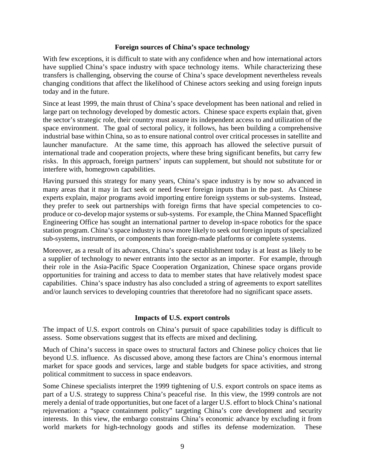### **Foreign sources of China's space technology**

With few exceptions, it is difficult to state with any confidence when and how international actors have supplied China's space industry with space technology items. While characterizing these transfers is challenging, observing the course of China's space development nevertheless reveals changing conditions that affect the likelihood of Chinese actors seeking and using foreign inputs today and in the future.

Since at least 1999, the main thrust of China's space development has been national and relied in large part on technology developed by domestic actors. Chinese space experts explain that, given the sector's strategic role, their country must assure its independent access to and utilization of the space environment. The goal of sectoral policy, it follows, has been building a comprehensive industrial base within China, so as to ensure national control over critical processes in satellite and launcher manufacture. At the same time, this approach has allowed the selective pursuit of international trade and cooperation projects, where these bring significant benefits, but carry few risks. In this approach, foreign partners' inputs can supplement, but should not substitute for or interfere with, homegrown capabilities.

Having pursued this strategy for many years, China's space industry is by now so advanced in many areas that it may in fact seek or need fewer foreign inputs than in the past. As Chinese experts explain, major programs avoid importing entire foreign systems or sub-systems. Instead, they prefer to seek out partnerships with foreign firms that have special competencies to coproduce or co-develop major systems or sub-systems. For example, the China Manned Spaceflight Engineering Office has sought an international partner to develop in-space robotics for the space station program. China's space industry is now more likely to seek out foreign inputs of specialized sub-systems, instruments, or components than foreign-made platforms or complete systems.

Moreover, as a result of its advances, China's space establishment today is at least as likely to be a supplier of technology to newer entrants into the sector as an importer. For example, through their role in the Asia-Pacific Space Cooperation Organization, Chinese space organs provide opportunities for training and access to data to member states that have relatively modest space capabilities. China's space industry has also concluded a string of agreements to export satellites and/or launch services to developing countries that theretofore had no significant space assets.

### **Impacts of U.S. export controls**

The impact of U.S. export controls on China's pursuit of space capabilities today is difficult to assess. Some observations suggest that its effects are mixed and declining.

Much of China's success in space owes to structural factors and Chinese policy choices that lie beyond U.S. influence. As discussed above, among these factors are China's enormous internal market for space goods and services, large and stable budgets for space activities, and strong political commitment to success in space endeavors.

Some Chinese specialists interpret the 1999 tightening of U.S. export controls on space items as part of a U.S. strategy to suppress China's peaceful rise. In this view, the 1999 controls are not merely a denial of trade opportunities, but one facet of a larger U.S. effort to block China's national rejuvenation: a "space containment policy" targeting China's core development and security interests. In this view, the embargo constrains China's economic advance by excluding it from world markets for high-technology goods and stifles its defense modernization. These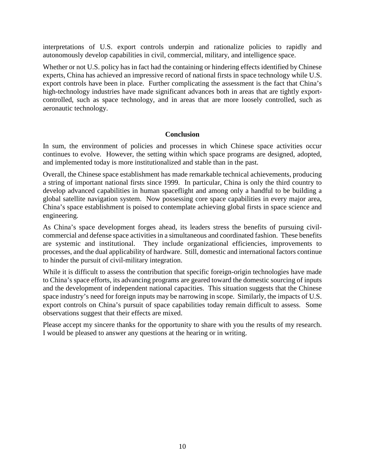interpretations of U.S. export controls underpin and rationalize policies to rapidly and autonomously develop capabilities in civil, commercial, military, and intelligence space.

Whether or not U.S. policy has in fact had the containing or hindering effects identified by Chinese experts, China has achieved an impressive record of national firsts in space technology while U.S. export controls have been in place. Further complicating the assessment is the fact that China's high-technology industries have made significant advances both in areas that are tightly exportcontrolled, such as space technology, and in areas that are more loosely controlled, such as aeronautic technology.

### **Conclusion**

In sum, the environment of policies and processes in which Chinese space activities occur continues to evolve. However, the setting within which space programs are designed, adopted, and implemented today is more institutionalized and stable than in the past.

Overall, the Chinese space establishment has made remarkable technical achievements, producing a string of important national firsts since 1999. In particular, China is only the third country to develop advanced capabilities in human spaceflight and among only a handful to be building a global satellite navigation system. Now possessing core space capabilities in every major area, China's space establishment is poised to contemplate achieving global firsts in space science and engineering.

As China's space development forges ahead, its leaders stress the benefits of pursuing civilcommercial and defense space activities in a simultaneous and coordinated fashion. These benefits are systemic and institutional. They include organizational efficiencies, improvements to processes, and the dual applicability of hardware. Still, domestic and international factors continue to hinder the pursuit of civil-military integration.

While it is difficult to assess the contribution that specific foreign-origin technologies have made to China's space efforts, its advancing programs are geared toward the domestic sourcing of inputs and the development of independent national capacities. This situation suggests that the Chinese space industry's need for foreign inputs may be narrowing in scope. Similarly, the impacts of U.S. export controls on China's pursuit of space capabilities today remain difficult to assess. Some observations suggest that their effects are mixed.

Please accept my sincere thanks for the opportunity to share with you the results of my research. I would be pleased to answer any questions at the hearing or in writing.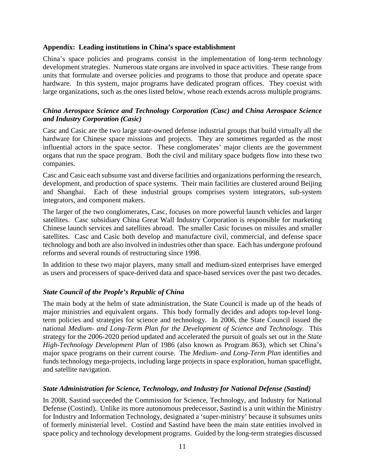### **Appendix: Leading institutions in China's space establishment**

China's space policies and programs consist in the implementation of long-term technology development strategies. Numerous state organs are involved in space activities. These range from units that formulate and oversee policies and programs to those that produce and operate space hardware. In this system, major programs have dedicated program offices. They coexist with large organizations, such as the ones listed below, whose reach extends across multiple programs.

# *China Aerospace Science and Technology Corporation (Casc) and China Aerospace Science and Industry Corporation (Casic)*

Casc and Casic are the two large state-owned defense industrial groups that build virtually all the hardware for Chinese space missions and projects. They are sometimes regarded as the most influential actors in the space sector. These conglomerates' major clients are the government organs that run the space program. Both the civil and military space budgets flow into these two companies.

Casc and Casic each subsume vast and diverse facilities and organizations performing the research, development, and production of space systems. Their main facilities are clustered around Beijing and Shanghai. Each of these industrial groups comprises system integrators, sub-system integrators, and component makers.

The larger of the two conglomerates, Casc, focuses on more powerful launch vehicles and larger satellites. Casc subsidiary China Great Wall Industry Corporation is responsible for marketing Chinese launch services and satellites abroad. The smaller Casic focuses on missiles and smaller satellites. Casc and Casic both develop and manufacture civil, commercial, and defense space technology and both are also involved in industries other than space. Each has undergone profound reforms and several rounds of restructuring since 1998.

In addition to these two major players, many small and medium-sized enterprises have emerged as users and processers of space-derived data and space-based services over the past two decades.

# *State Council of the People's Republic of China*

The main body at the helm of state administration, the State Council is made up of the heads of major ministries and equivalent organs. This body formally decides and adopts top-level longterm policies and strategies for science and technology. In 2006, the State Council issued the national *Medium- and Long-Term Plan for the Development of Science and Technology.* This strategy for the 2006-2020 period updated and accelerated the pursuit of goals set out in the *State High-Technology Development Plan* of 1986 (also known as Program 863), which set China's major space programs on their current course. The *Medium- and Long-Term Plan* identifies and funds technology mega-projects, including large projects in space exploration, human spaceflight, and satellite navigation.

### *State Administration for Science, Technology, and Industry for National Defense (Sastind)*

In 2008, Sastind succeeded the Commission for Science, Technology, and Industry for National Defense (Costind). Unlike its more autonomous predecessor, Sastind is a unit within the Ministry for Industry and Information Technology, designated a 'super-ministry' because it subsumes units of formerly ministerial level. Costind and Sastind have been the main state entities involved in space policy and technology development programs. Guided by the long-term strategies discussed